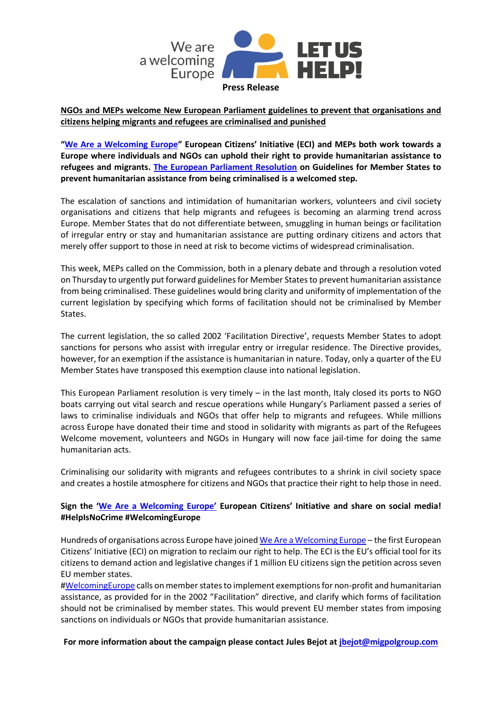

**NGOs and MEPs welcome New European Parliament guidelines to prevent that organisations and citizens helping migrants and refugees are criminalised and punished**

**"[We Are a Welcoming Europe](http://weareawelcomingeurope.eu/)" European Citizens' Initiative (ECI) and MEPs both work towards a Europe where individuals and NGOs can uphold their right to provide humanitarian assistance to refugees and migrants. [The European Parliament Resolution](http://www.europarl.europa.eu/sides/getDoc.do?type=MOTION&reference=B8-2018-0314&format=XML&language=EN) on Guidelines for Member States to prevent humanitarian assistance from being criminalised is a welcomed step.** 

The escalation of sanctions and intimidation of humanitarian workers, volunteers and civil society organisations and citizens that help migrants and refugees is becoming an alarming trend across Europe. Member States that do not differentiate between, smuggling in human beings or facilitation of irregular entry or stay and humanitarian assistance are putting ordinary citizens and actors that merely offer support to those in need at risk to become victims of widespread criminalisation.

This week, MEPs called on the Commission, both in a plenary debate and through a resolution voted on Thursday to urgently put forward guidelines for Member States to prevent humanitarian assistance from being criminalised. These guidelines would bring clarity and uniformity of implementation of the current legislation by specifying which forms of facilitation should not be criminalised by Member States.

The current legislation, the so called 2002 'Facilitation Directive', requests Member States to adopt sanctions for persons who assist with irregular entry or irregular residence. The Directive provides, however, for an exemption if the assistance is humanitarian in nature. Today, only a quarter of the EU Member States have transposed this exemption clause into national legislation.

This European Parliament resolution is very timely – in the last month, Italy closed its ports to NGO boats carrying out vital search and rescue operations while Hungary's Parliament passed a series of laws to criminalise individuals and NGOs that offer help to migrants and refugees. While millions across Europe have donated their time and stood in solidarity with migrants as part of the Refugees Welcome movement, volunteers and NGOs in Hungary will now face jail-time for doing the same humanitarian acts.

Criminalising our solidarity with migrants and refugees contributes to a shrink in civil society space and creates a hostile atmosphere for citizens and NGOs that practice their right to help those in need.

## **Sign the ['We Are a Welcoming Europe'](http://weareawelcomingeurope.eu/) European Citizens' Initiative and share on social media! #HelpIsNoCrime #WelcomingEurope**

Hundreds of organisations across Europe have joine[d We Are a Welcoming Europe](http://weareawelcomingeurope.eu/) – the first European Citizens' Initiative (ECI) on migration to reclaim our right to help. The ECI is the EU's official tool for its citizens to demand action and legislative changes if 1 million EU citizens sign the petition across seven EU member states.

[#WelcomingEurope](http://weareawelcomingeurope.eu/) calls on member states to implement exemptions for non-profit and humanitarian assistance, as provided for in the 2002 "Facilitation" directive, and clarify which forms of facilitation should not be criminalised by member states. This would prevent EU member states from imposing sanctions on individuals or NGOs that provide humanitarian assistance.

**For more information about the campaign please contact Jules Bejot at jbejot@migpolgroup.com**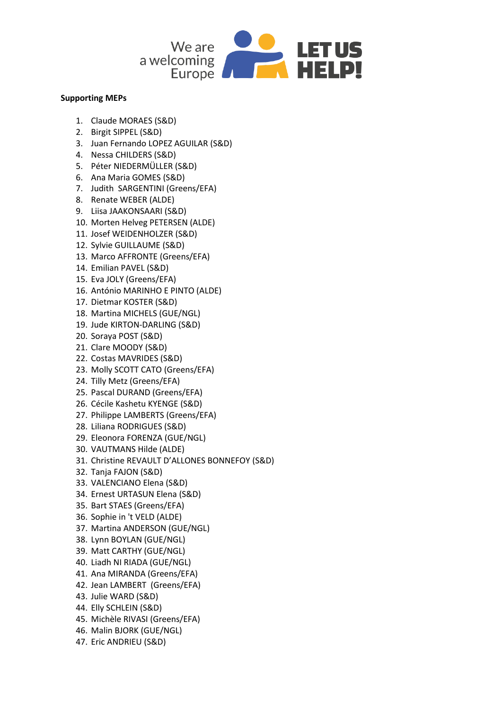

## **Supporting MEPs**

- 1. Claude MORAES (S&D)
- 2. Birgit SIPPEL (S&D)
- 3. Juan Fernando LOPEZ AGUILAR (S&D)
- 4. Nessa CHILDERS (S&D)
- 5. Péter NIEDERMÜLLER (S&D)
- 6. Ana Maria GOMES (S&D)
- 7. Judith SARGENTINI (Greens/EFA)
- 8. Renate WEBER (ALDE)
- 9. Liisa JAAKONSAARI (S&D)
- 10. Morten Helveg PETERSEN (ALDE)
- 11. Josef WEIDENHOLZER (S&D)
- 12. Sylvie GUILLAUME (S&D)
- 13. Marco AFFRONTE (Greens/EFA)
- 14. Emilian PAVEL (S&D)
- 15. Eva JOLY (Greens/EFA)
- 16. António MARINHO E PINTO (ALDE)
- 17. Dietmar KOSTER (S&D)
- 18. Martina MICHELS (GUE/NGL)
- 19. Jude KIRTON-DARLING (S&D)
- 20. Soraya POST (S&D)
- 21. Clare MOODY (S&D)
- 22. Costas MAVRIDES (S&D)
- 23. Molly SCOTT CATO (Greens/EFA)
- 24. Tilly Metz (Greens/EFA)
- 25. Pascal DURAND (Greens/EFA)
- 26. Cécile Kashetu KYENGE (S&D)
- 27. Philippe LAMBERTS (Greens/EFA)
- 28. Liliana RODRIGUES (S&D)
- 29. Eleonora FORENZA (GUE/NGL)
- 30. VAUTMANS Hilde (ALDE)
- 31. Christine REVAULT D'ALLONES BONNEFOY (S&D)
- 32. Tanja FAJON (S&D)
- 33. VALENCIANO Elena (S&D)
- 34. Ernest URTASUN Elena (S&D)
- 35. Bart STAES (Greens/EFA)
- 36. Sophie in 't VELD (ALDE)
- 37. Martina ANDERSON (GUE/NGL)
- 38. Lynn BOYLAN (GUE/NGL)
- 39. Matt CARTHY (GUE/NGL)
- 40. Liadh NI RIADA (GUE/NGL)
- 41. Ana MIRANDA (Greens/EFA)
- 42. Jean LAMBERT (Greens/EFA)
- 43. Julie WARD (S&D)
- 44. Elly SCHLEIN (S&D)
- 45. Michèle RIVASI (Greens/EFA)
- 46. Malin BJORK (GUE/NGL)
- 47. Eric ANDRIEU (S&D)